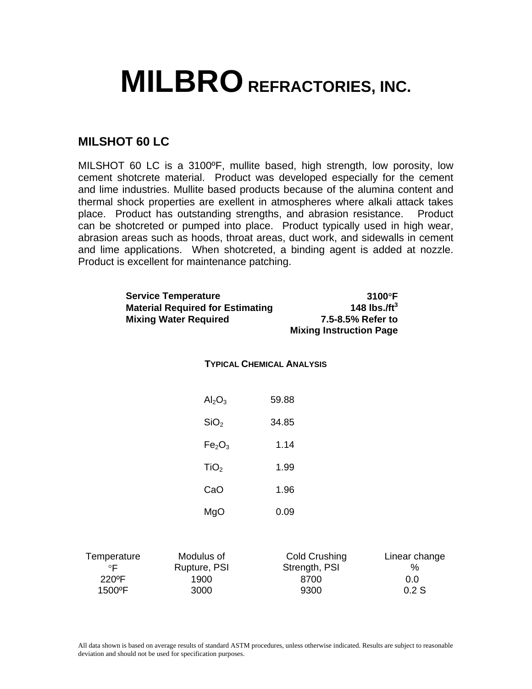## **MILBRO REFRACTORIES, INC.**

## **MILSHOT 60 LC**

MILSHOT 60 LC is a 3100ºF, mullite based, high strength, low porosity, low cement shotcrete material. Product was developed especially for the cement and lime industries. Mullite based products because of the alumina content and thermal shock properties are exellent in atmospheres where alkali attack takes place. Product has outstanding strengths, and abrasion resistance. Product can be shotcreted or pumped into place. Product typically used in high wear, abrasion areas such as hoods, throat areas, duct work, and sidewalls in cement and lime applications. When shotcreted, a binding agent is added at nozzle. Product is excellent for maintenance patching.

|                                             | <b>Service Temperature</b><br><b>Material Required for Estimating</b><br><b>Mixing Water Required</b> | <b>Mixing Instruction Page</b>                 | 3100°F<br>148 lbs./f $t^3$<br>7.5-8.5% Refer to |
|---------------------------------------------|-------------------------------------------------------------------------------------------------------|------------------------------------------------|-------------------------------------------------|
|                                             | <b>TYPICAL CHEMICAL ANALYSIS</b>                                                                      |                                                |                                                 |
|                                             | Al <sub>2</sub> O <sub>3</sub>                                                                        | 59.88                                          |                                                 |
|                                             | SiO <sub>2</sub>                                                                                      | 34.85                                          |                                                 |
|                                             | Fe <sub>2</sub> O <sub>3</sub>                                                                        | 1.14                                           |                                                 |
|                                             | TiO <sub>2</sub>                                                                                      | 1.99                                           |                                                 |
|                                             | CaO                                                                                                   | 1.96                                           |                                                 |
|                                             | MgO                                                                                                   | 0.09                                           |                                                 |
| Temperature<br>$\circ$ F<br>220°F<br>1500°F | Modulus of<br>Rupture, PSI<br>1900<br>3000                                                            | Cold Crushing<br>Strength, PSI<br>8700<br>9300 | Linear change<br>%<br>0.0<br>0.2S               |